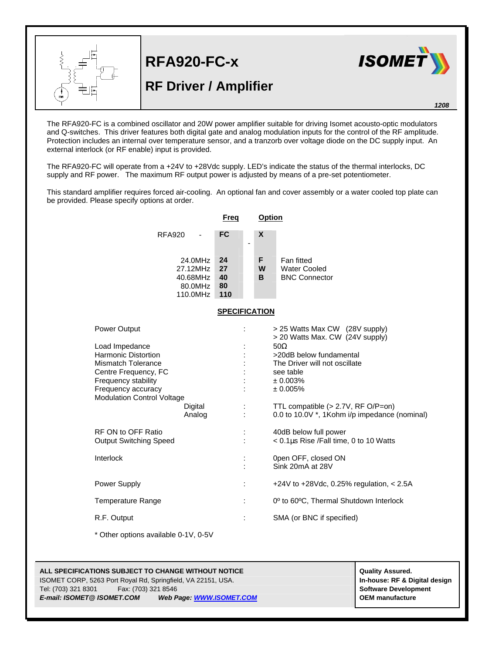

**RFA920-FC-x**

## **RF Driver / Amplifier**



*1208*

The RFA920-FC is a combined oscillator and 20W power amplifier suitable for driving Isomet acousto-optic modulators and Q-switches. This driver features both digital gate and analog modulation inputs for the control of the RF amplitude. Protection includes an internal over temperature sensor, and a tranzorb over voltage diode on the DC supply input. An external interlock (or RF enable) input is provided.

The RFA920-FC will operate from a +24V to +28Vdc supply. LED's indicate the status of the thermal interlocks, DC supply and RF power. The maximum RF output power is adjusted by means of a pre-set potentiometer.

This standard amplifier requires forced air-cooling. An optional fan and cover assembly or a water cooled top plate can be provided. Please specify options at order.

|                                                                                                                                                                                                                                                | Freq                        | <b>Option</b>                                                                                                                                                                                                                                                           |
|------------------------------------------------------------------------------------------------------------------------------------------------------------------------------------------------------------------------------------------------|-----------------------------|-------------------------------------------------------------------------------------------------------------------------------------------------------------------------------------------------------------------------------------------------------------------------|
| <b>RFA920</b><br>$\blacksquare$                                                                                                                                                                                                                | <b>FC</b><br>$\blacksquare$ | X                                                                                                                                                                                                                                                                       |
| 24.0MHz<br>27.12MHz<br>40.68MHz<br>80.0MHz<br>110.0MHz                                                                                                                                                                                         | 24<br>27<br>40<br>80<br>110 | Fan fitted<br>F.<br>W<br><b>Water Cooled</b><br>B.<br><b>BNC Connector</b>                                                                                                                                                                                              |
| <b>SPECIFICATION</b>                                                                                                                                                                                                                           |                             |                                                                                                                                                                                                                                                                         |
| Power Output<br>Load Impedance<br><b>Harmonic Distortion</b><br><b>Mismatch Tolerance</b><br>Centre Frequency, FC<br>Frequency stability<br>Frequency accuracy<br><b>Modulation Control Voltage</b><br>Digital<br>Analog<br>RF ON to OFF Ratio | $\ddot{\phantom{a}}$        | > 25 Watts Max CW (28V supply)<br>> 20 Watts Max. CW (24V supply)<br>$50\Omega$<br>>20dB below fundamental<br>The Driver will not oscillate<br>see table<br>± 0.003%<br>± 0.005%<br>TTL compatible (> 2.7V, RF O/P=on)<br>0.0 to 10.0V *, 1Kohm i/p impedance (nominal) |
| <b>Output Switching Speed</b>                                                                                                                                                                                                                  |                             | 40dB below full power<br>< 0.1µs Rise /Fall time, 0 to 10 Watts                                                                                                                                                                                                         |
| Interlock                                                                                                                                                                                                                                      | $\ddot{\phantom{a}}$        | 0pen OFF, closed ON<br>Sink 20mA at 28V                                                                                                                                                                                                                                 |
| <b>Power Supply</b>                                                                                                                                                                                                                            |                             | +24V to +28Vdc, 0.25% regulation, $< 2.5A$                                                                                                                                                                                                                              |
| <b>Temperature Range</b>                                                                                                                                                                                                                       | $\ddot{\phantom{a}}$        | 0° to 60°C, Thermal Shutdown Interlock                                                                                                                                                                                                                                  |
| R.F. Output                                                                                                                                                                                                                                    |                             | SMA (or BNC if specified)                                                                                                                                                                                                                                               |

\* Other options available 0-1V, 0-5V

## **ALL SPECIFICATIONS SUBJECT TO CHANGE WITHOUT NOTICE And CONTACT ASSURANT CONTRACT ASSURED.** ISOMET CORP, 5263 Port Royal Rd, Springfield, VA 22151, USA. **In-house: RF & Digital design** Tel: (703) 321 8301 Fax: (703) 321 8546 **Software Development** *E-mail: ISOMET@ ISOMET.COM Web Page: WWW.ISOMET.COM* **OEM manufacture**